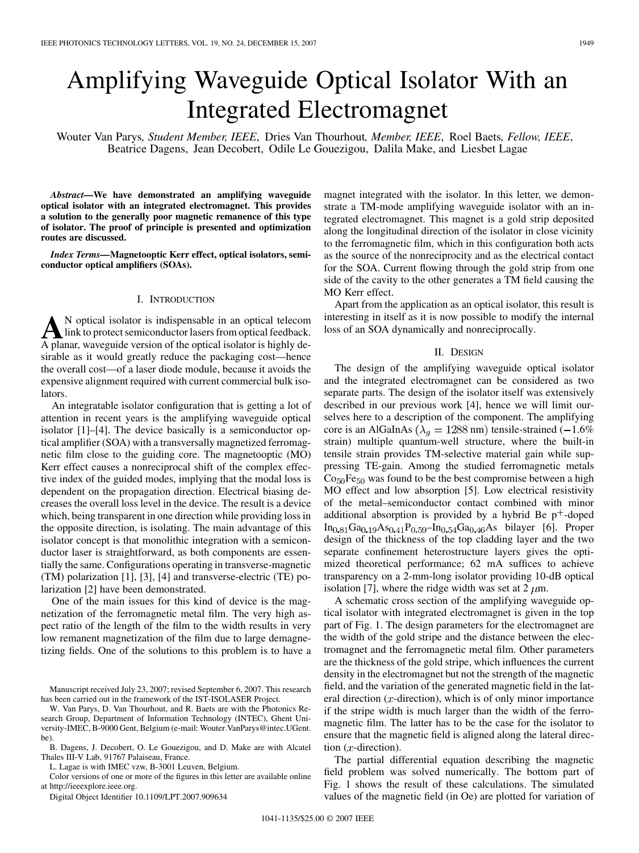# Amplifying Waveguide Optical Isolator With an Integrated Electromagnet

Wouter Van Parys*, Student Member, IEEE*, Dries Van Thourhout*, Member, IEEE*, Roel Baets*, Fellow, IEEE*, Beatrice Dagens, Jean Decobert, Odile Le Gouezigou, Dalila Make, and Liesbet Lagae

*Abstract—***We have demonstrated an amplifying waveguide optical isolator with an integrated electromagnet. This provides a solution to the generally poor magnetic remanence of this type of isolator. The proof of principle is presented and optimization routes are discussed.**

*Index Terms—***Magnetooptic Kerr effect, optical isolators, semiconductor optical amplifiers (SOAs).**

### I. INTRODUCTION

**A**N optical isolator is indispensable in an optical telecom<br>A planar waveguide version of the optical isolator is highly de-A planar, waveguide version of the optical isolator is highly desirable as it would greatly reduce the packaging cost—hence the overall cost—of a laser diode module, because it avoids the expensive alignment required with current commercial bulk isolators.

An integratable isolator configuration that is getting a lot of attention in recent years is the amplifying waveguide optical isolator [1]–[4]. The device basically is a semiconductor optical amplifier (SOA) with a transversally magnetized ferromagnetic film close to the guiding core. The magnetooptic (MO) Kerr effect causes a nonreciprocal shift of the complex effective index of the guided modes, implying that the modal loss is dependent on the propagation direction. Electrical biasing decreases the overall loss level in the device. The result is a device which, being transparent in one direction while providing loss in the opposite direction, is isolating. The main advantage of this isolator concept is that monolithic integration with a semiconductor laser is straightforward, as both components are essentially the same. Configurations operating in transverse-magnetic (TM) polarization [1], [3], [4] and transverse-electric (TE) polarization [2] have been demonstrated.

One of the main issues for this kind of device is the magnetization of the ferromagnetic metal film. The very high aspect ratio of the length of the film to the width results in very low remanent magnetization of the film due to large demagnetizing fields. One of the solutions to this problem is to have a

Digital Object Identifier 10.1109/LPT.2007.909634

magnet integrated with the isolator. In this letter, we demonstrate a TM-mode amplifying waveguide isolator with an integrated electromagnet. This magnet is a gold strip deposited along the longitudinal direction of the isolator in close vicinity to the ferromagnetic film, which in this configuration both acts as the source of the nonreciprocity and as the electrical contact for the SOA. Current flowing through the gold strip from one side of the cavity to the other generates a TM field causing the MO Kerr effect.

Apart from the application as an optical isolator, this result is interesting in itself as it is now possible to modify the internal loss of an SOA dynamically and nonreciprocally.

#### II. DESIGN

The design of the amplifying waveguide optical isolator and the integrated electromagnet can be considered as two separate parts. The design of the isolator itself was extensively described in our previous work [4], hence we will limit ourselves here to a description of the component. The amplifying core is an AlGaInAs ( $\lambda_q = 1288$  nm) tensile-strained (-1.6%) strain) multiple quantum-well structure, where the built-in tensile strain provides TM-selective material gain while suppressing TE-gain. Among the studied ferromagnetic metals  $Co<sub>50</sub>Fe<sub>50</sub>$  was found to be the best compromise between a high MO effect and low absorption [5]. Low electrical resistivity of the metal–semiconductor contact combined with minor additional absorption is provided by a hybrid Be  $p^+$ -doped  $In_{0.81}Ga_{0.19}As_{0.41}P_{0.59}-In_{0.54}Ga_{0.46}As$  bilayer [6]. Proper design of the thickness of the top cladding layer and the two separate confinement heterostructure layers gives the optimized theoretical performance; 62 mA suffices to achieve transparency on a 2-mm-long isolator providing 10-dB optical isolation [7], where the ridge width was set at  $2 \mu m$ .

A schematic cross section of the amplifying waveguide optical isolator with integrated electromagnet is given in the top part of Fig. 1. The design parameters for the electromagnet are the width of the gold stripe and the distance between the electromagnet and the ferromagnetic metal film. Other parameters are the thickness of the gold stripe, which influences the current density in the electromagnet but not the strength of the magnetic field, and the variation of the generated magnetic field in the lateral direction  $(x$ -direction), which is of only minor importance if the stripe width is much larger than the width of the ferromagnetic film. The latter has to be the case for the isolator to ensure that the magnetic field is aligned along the lateral direction  $(x$ -direction).

The partial differential equation describing the magnetic field problem was solved numerically. The bottom part of Fig. 1 shows the result of these calculations. The simulated values of the magnetic field (in Oe) are plotted for variation of

Manuscript received July 23, 2007; revised September 6, 2007. This research has been carried out in the framework of the IST-ISOLASER Project.

W. Van Parys, D. Van Thourhout, and R. Baets are with the Photonics Research Group, Department of Information Technology (INTEC), Ghent University-IMEC, B-9000 Gent, Belgium (e-mail: Wouter.VanParys@intec.UGent. be).

B. Dagens, J. Decobert, O. Le Gouezigou, and D. Make are with Alcatel Thales III-V Lab, 91767 Palaiseau, France.

L. Lagae is with IMEC vzw, B-3001 Leuven, Belgium.

Color versions of one or more of the figures in this letter are available online at http://ieeexplore.ieee.org.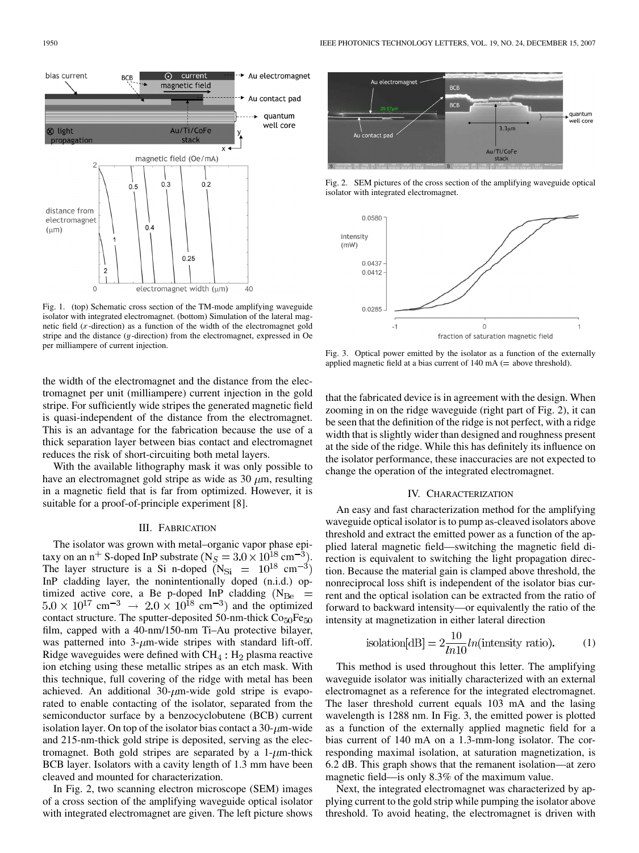

Fig. 1. (top) Schematic cross section of the TM-mode amplifying waveguide isolator with integrated electromagnet. (bottom) Simulation of the lateral magnetic field  $(x$ -direction) as a function of the width of the electromagnet gold stripe and the distance  $(y$ -direction) from the electromagnet, expressed in Oe per milliampere of current injection.

the width of the electromagnet and the distance from the electromagnet per unit (milliampere) current injection in the gold stripe. For sufficiently wide stripes the generated magnetic field is quasi-independent of the distance from the electromagnet. This is an advantage for the fabrication because the use of a thick separation layer between bias contact and electromagnet reduces the risk of short-circuiting both metal layers.

With the available lithography mask it was only possible to have an electromagnet gold stripe as wide as 30  $\mu$ m, resulting in a magnetic field that is far from optimized. However, it is suitable for a proof-of-principle experiment [8].

#### III. FABRICATION

The isolator was grown with metal–organic vapor phase epitaxy on an n<sup>+</sup> S-doped InP substrate ( $N_S = 3.0 \times 10^{18}$  cm<sup>-3</sup>). The layer structure is a Si n-doped  $(N_{Si} = 10^{18} \text{ cm}^{-3})$ InP cladding layer, the nonintentionally doped (n.i.d.) optimized active core, a Be p-doped InP cladding  $(N_{\text{Be}}$  =  $5.0 \times 10^{17}$  cm<sup>-3</sup>  $\rightarrow$  2.0  $\times$  10<sup>18</sup> cm<sup>-3</sup>) and the optimized contact structure. The sputter-deposited 50-nm-thick  $Co<sub>50</sub>Fe<sub>50</sub>$ film, capped with a 40-nm/150-nm Ti-Au protective bilayer, was patterned into 3- $\mu$ m-wide stripes with standard lift-off. Ridge waveguides were defined with  $CH_4$ :  $H_2$  plasma reactive ion etching using these metallic stripes as an etch mask. With this technique, full covering of the ridge with metal has been achieved. An additional  $30$ - $\mu$ m-wide gold stripe is evaporated to enable contacting of the isolator, separated from the semiconductor surface by a benzocyclobutene (BCB) current isolation layer. On top of the isolator bias contact a  $30$ - $\mu$ m-wide and 215-nm-thick gold stripe is deposited, serving as the electromagnet. Both gold stripes are separated by a  $1-\mu m$ -thick BCB layer. Isolators with a cavity length of 1.3 mm have been cleaved and mounted for characterization.

In Fig. 2, two scanning electron microscope (SEM) images of a cross section of the amplifying waveguide optical isolator with integrated electromagnet are given. The left picture shows



Fig. 2. SEM pictures of the cross section of the amplifying waveguide optical isolator with integrated electromagnet.



Fig. 3. Optical power emitted by the isolator as a function of the externally applied magnetic field at a bias current of  $140 \text{ mA}$  (= above threshold).

that the fabricated device is in agreement with the design. When zooming in on the ridge waveguide (right part of Fig. 2), it can be seen that the definition of the ridge is not perfect, with a ridge width that is slightly wider than designed and roughness present at the side of the ridge. While this has definitely its influence on the isolator performance, these inaccuracies are not expected to change the operation of the integrated electromagnet.

#### IV. CHARACTERIZATION

An easy and fast characterization method for the amplifying waveguide optical isolator is to pump as-cleaved isolators above threshold and extract the emitted power as a function of the applied lateral magnetic field—switching the magnetic field direction is equivalent to switching the light propagation direction. Because the material gain is clamped above threshold, the nonreciprocal loss shift is independent of the isolator bias current and the optical isolation can be extracted from the ratio of forward to backward intensity—or equivalently the ratio of the intensity at magnetization in either lateral direction

isolation[dB] = 
$$
2\frac{10}{ln 10}ln
$$
(intensity ratio). (1)

This method is used throughout this letter. The amplifying waveguide isolator was initially characterized with an external electromagnet as a reference for the integrated electromagnet. The laser threshold current equals 103 mA and the lasing wavelength is 1288 nm. In Fig. 3, the emitted power is plotted as a function of the externally applied magnetic field for a bias current of 140 mA on a 1.3-mm-long isolator. The corresponding maximal isolation, at saturation magnetization, is 6.2 dB. This graph shows that the remanent isolation—at zero magnetic field—is only 8.3% of the maximum value.

Next, the integrated electromagnet was characterized by applying current to the gold strip while pumping the isolator above threshold. To avoid heating, the electromagnet is driven with